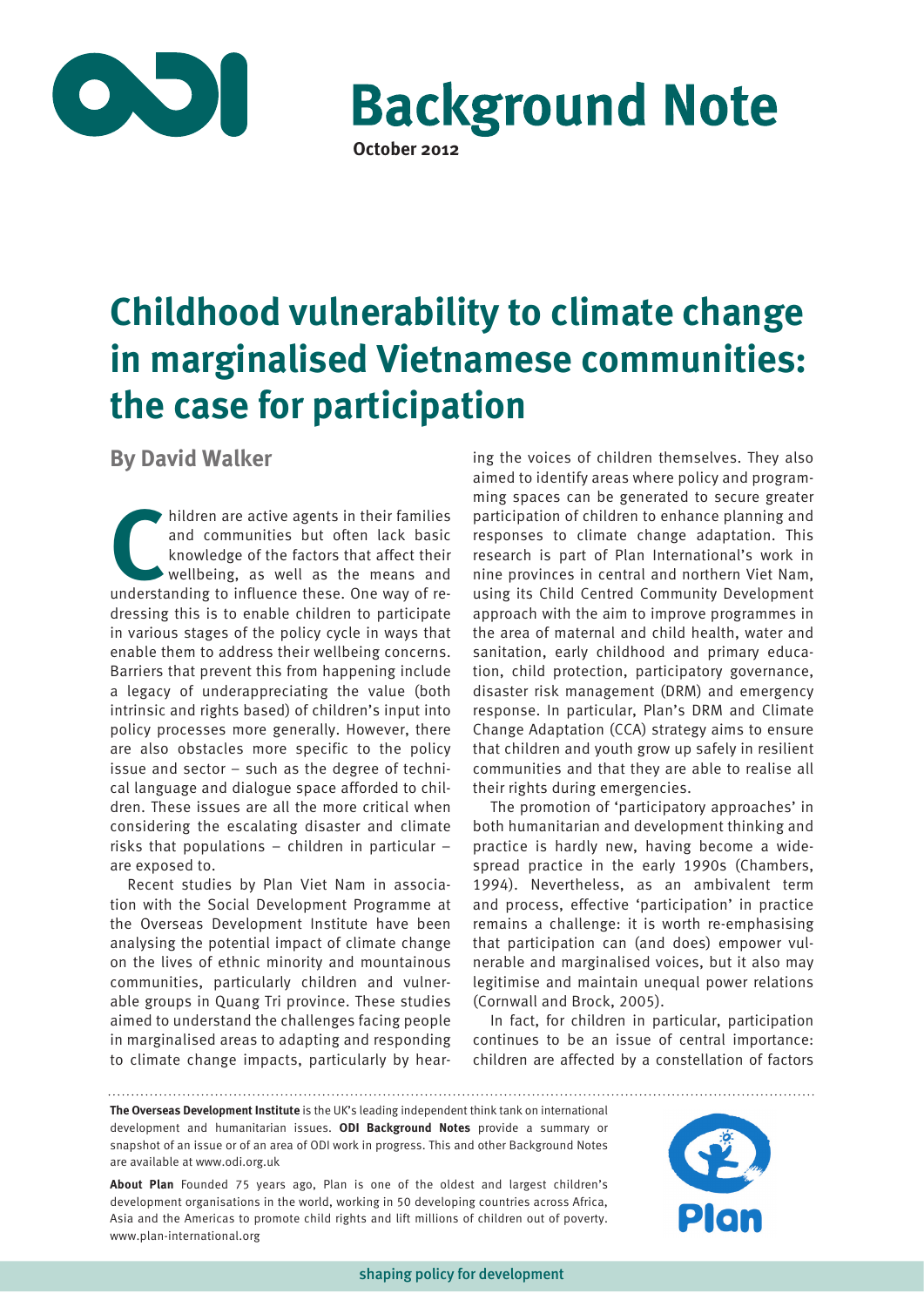

**Background Note October 2012**

**Childhood vulnerability to climate change in marginalised Vietnamese communities: the case for participation**

**By David Walker**

**C**hildren are active agents in their families and communities but often lack basic knowledge of the factors that affect their wellbeing, as well as the means and understanding to influence these. One way of redressing this is to enable children to participate in various stages of the policy cycle in ways that enable them to address their wellbeing concerns. Barriers that prevent this from happening include a legacy of underappreciating the value (both intrinsic and rights based) of children's input into policy processes more generally. However, there are also obstacles more specific to the policy issue and sector – such as the degree of technical language and dialogue space afforded to children. These issues are all the more critical when considering the escalating disaster and climate risks that populations – children in particular – are exposed to.

Recent studies by Plan Viet Nam in association with the Social Development Programme at the Overseas Development Institute have been analysing the potential impact of climate change on the lives of ethnic minority and mountainous communities, particularly children and vulnerable groups in Quang Tri province. These studies aimed to understand the challenges facing people in marginalised areas to adapting and responding to climate change impacts, particularly by hearing the voices of children themselves. They also aimed to identify areas where policy and programming spaces can be generated to secure greater participation of children to enhance planning and responses to climate change adaptation. This research is part of Plan International's work in nine provinces in central and northern Viet Nam, using its Child Centred Community Development approach with the aim to improve programmes in the area of maternal and child health, water and sanitation, early childhood and primary education, child protection, participatory governance, disaster risk management (DRM) and emergency response. In particular, Plan's DRM and Climate Change Adaptation (CCA) strategy aims to ensure that children and youth grow up safely in resilient communities and that they are able to realise all their rights during emergencies.

The promotion of 'participatory approaches' in both humanitarian and development thinking and practice is hardly new, having become a widespread practice in the early 1990s (Chambers, 1994). Nevertheless, as an ambivalent term and process, effective 'participation' in practice remains a challenge: it is worth re-emphasising that participation can (and does) empower vulnerable and marginalised voices, but it also may legitimise and maintain unequal power relations (Cornwall and Brock, 2005).

In fact, for children in particular, participation continues to be an issue of central importance: children are affected by a constellation of factors

**The Overseas Development Institute** is the UK's leading independent think tank on international development and humanitarian issues. **ODI Background Notes** provide a summary or snapshot of an issue or of an area of ODI work in progress. This and other Background Notes are available at www.odi.org.uk

**About Plan** Founded 75 years ago, Plan is one of the oldest and largest children's development organisations in the world, working in 50 developing countries across Africa, Asia and the Americas to promote child rights and lift millions of children out of poverty. www.plan-international.org

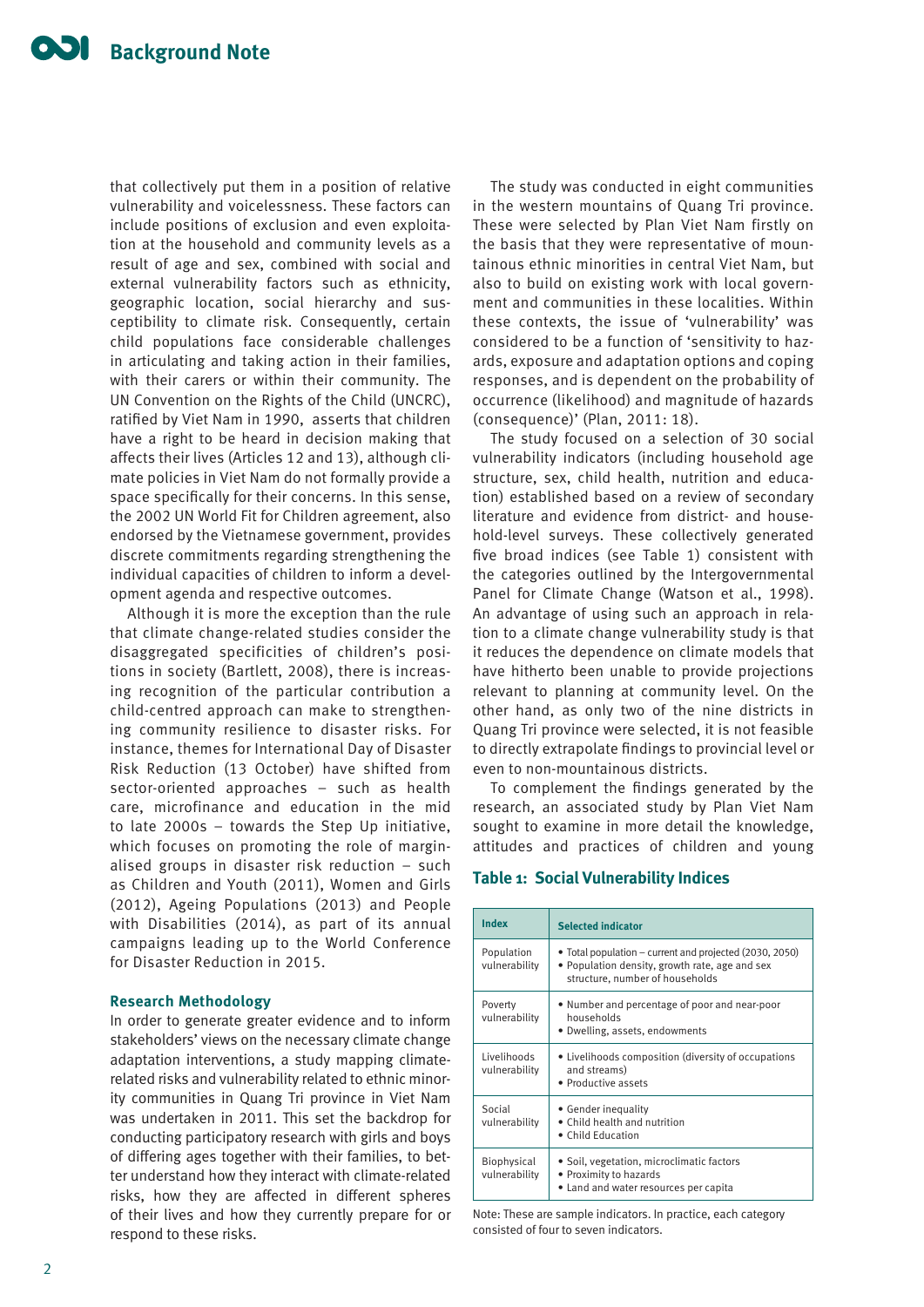that collectively put them in a position of relative vulnerability and voicelessness. These factors can include positions of exclusion and even exploitation at the household and community levels as a result of age and sex, combined with social and external vulnerability factors such as ethnicity, geographic location, social hierarchy and susceptibility to climate risk. Consequently, certain child populations face considerable challenges in articulating and taking action in their families, with their carers or within their community. The UN Convention on the Rights of the Child (UNCRC), ratified by Viet Nam in 1990, asserts that children have a right to be heard in decision making that affects their lives (Articles 12 and 13), although climate policies in Viet Nam do not formally provide a space specifically for their concerns. In this sense, the 2002 UN World Fit for Children agreement, also endorsed by the Vietnamese government, provides discrete commitments regarding strengthening the individual capacities of children to inform a development agenda and respective outcomes.

Although it is more the exception than the rule that climate change-related studies consider the disaggregated specificities of children's positions in society (Bartlett, 2008), there is increasing recognition of the particular contribution a child-centred approach can make to strengthening community resilience to disaster risks. For instance, themes for International Day of Disaster Risk Reduction (13 October) have shifted from sector-oriented approaches – such as health care, microfinance and education in the mid to late 2000s – towards the Step Up initiative, which focuses on promoting the role of marginalised groups in disaster risk reduction – such as Children and Youth (2011), Women and Girls (2012), Ageing Populations (2013) and People with Disabilities (2014), as part of its annual campaigns leading up to the World Conference for Disaster Reduction in 2015.

# **Research Methodology**

In order to generate greater evidence and to inform stakeholders' views on the necessary climate change adaptation interventions, a study mapping climaterelated risks and vulnerability related to ethnic minority communities in Quang Tri province in Viet Nam was undertaken in 2011. This set the backdrop for conducting participatory research with girls and boys of differing ages together with their families, to better understand how they interact with climate-related risks, how they are affected in different spheres of their lives and how they currently prepare for or respond to these risks.

The study was conducted in eight communities in the western mountains of Quang Tri province. These were selected by Plan Viet Nam firstly on the basis that they were representative of mountainous ethnic minorities in central Viet Nam, but also to build on existing work with local government and communities in these localities. Within these contexts, the issue of 'vulnerability' was considered to be a function of 'sensitivity to hazards, exposure and adaptation options and coping responses, and is dependent on the probability of occurrence (likelihood) and magnitude of hazards (consequence)' (Plan, 2011: 18).

The study focused on a selection of 30 social vulnerability indicators (including household age structure, sex, child health, nutrition and education) established based on a review of secondary literature and evidence from district- and household-level surveys. These collectively generated five broad indices (see Table 1) consistent with the categories outlined by the Intergovernmental Panel for Climate Change (Watson et al., 1998). An advantage of using such an approach in relation to a climate change vulnerability study is that it reduces the dependence on climate models that have hitherto been unable to provide projections relevant to planning at community level. On the other hand, as only two of the nine districts in Quang Tri province were selected, it is not feasible to directly extrapolate findings to provincial level or even to non-mountainous districts.

To complement the findings generated by the research, an associated study by Plan Viet Nam sought to examine in more detail the knowledge, attitudes and practices of children and young

# **Table 1: Social Vulnerability Indices**

| Index                        | <b>Selected indicator</b>                                                                                                                    |
|------------------------------|----------------------------------------------------------------------------------------------------------------------------------------------|
| Population<br>vulnerability  | • Total population – current and projected (2030, 2050)<br>• Population density, growth rate, age and sex<br>structure, number of households |
| Poverty<br>vulnerability     | • Number and percentage of poor and near-poor<br>households<br>• Dwelling, assets, endowments                                                |
| Livelihoods<br>vulnerability | • Livelihoods composition (diversity of occupations<br>and streams)<br>• Productive assets                                                   |
| Social<br>vulnerability      | • Gender inequality<br>• Child health and nutrition<br>• Child Education                                                                     |
| Biophysical<br>vulnerability | • Soil, vegetation, microclimatic factors<br>• Proximity to hazards<br>• Land and water resources per capita                                 |

Note: These are sample indicators. In practice, each category consisted of four to seven indicators.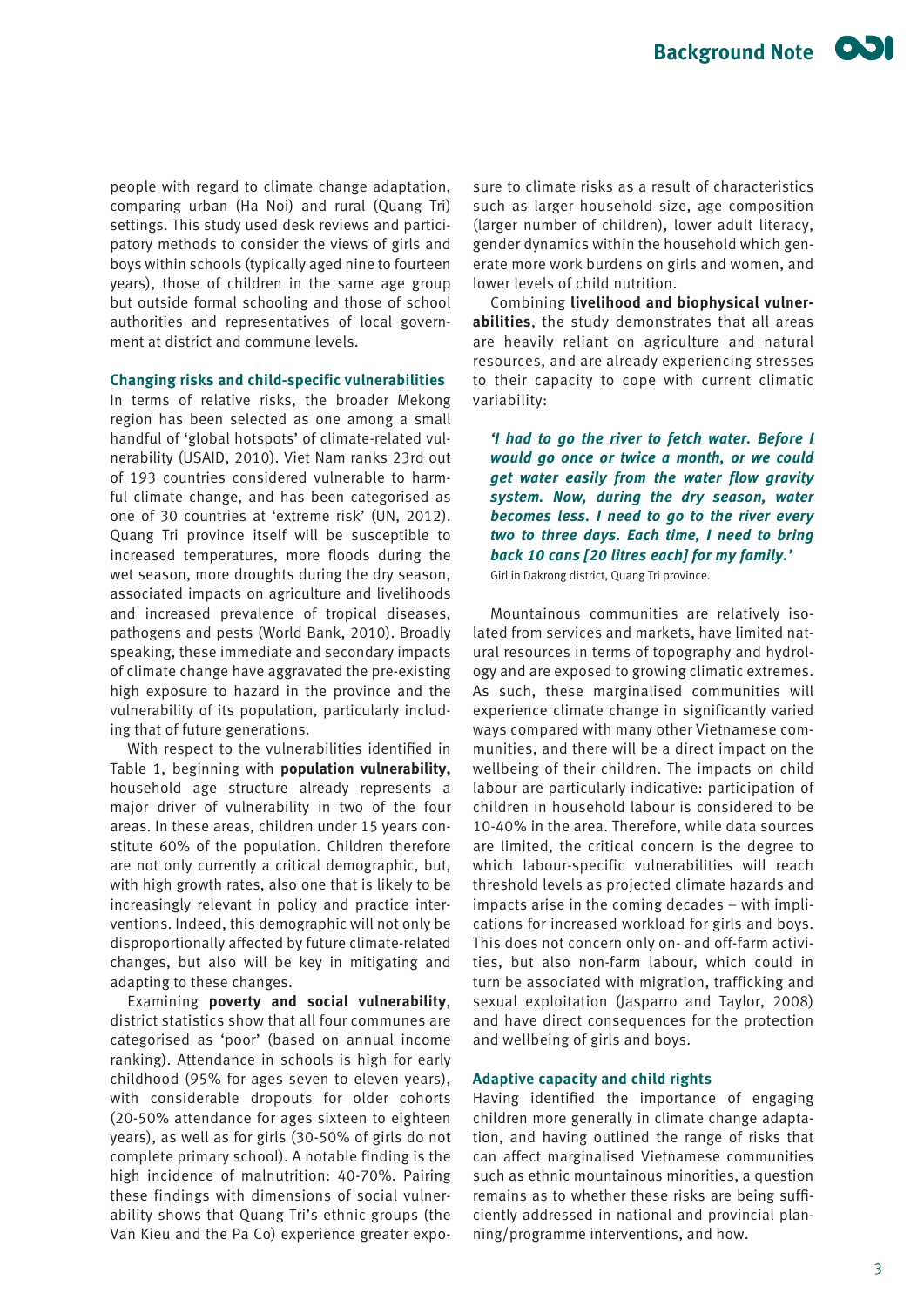people with regard to climate change adaptation, comparing urban (Ha Noi) and rural (Quang Tri) settings. This study used desk reviews and participatory methods to consider the views of girls and boys within schools (typically aged nine to fourteen years), those of children in the same age group but outside formal schooling and those of school authorities and representatives of local government at district and commune levels.

# **Changing risks and child-specific vulnerabilities**

In terms of relative risks, the broader Mekong region has been selected as one among a small handful of 'global hotspots' of climate-related vulnerability (USAID, 2010). Viet Nam ranks 23rd out of 193 countries considered vulnerable to harmful climate change, and has been categorised as one of 30 countries at 'extreme risk' (UN, 2012). Quang Tri province itself will be susceptible to increased temperatures, more floods during the wet season, more droughts during the dry season, associated impacts on agriculture and livelihoods and increased prevalence of tropical diseases, pathogens and pests (World Bank, 2010). Broadly speaking, these immediate and secondary impacts of climate change have aggravated the pre-existing high exposure to hazard in the province and the vulnerability of its population, particularly including that of future generations.

With respect to the vulnerabilities identified in Table 1, beginning with **population vulnerability,** household age structure already represents a major driver of vulnerability in two of the four areas. In these areas, children under 15 years constitute 60% of the population. Children therefore are not only currently a critical demographic, but, with high growth rates, also one that is likely to be increasingly relevant in policy and practice interventions. Indeed, this demographic will not only be disproportionally affected by future climate-related changes, but also will be key in mitigating and adapting to these changes.

Examining **poverty and social vulnerability**, district statistics show that all four communes are categorised as 'poor' (based on annual income ranking). Attendance in schools is high for early childhood (95% for ages seven to eleven years), with considerable dropouts for older cohorts (20-50% attendance for ages sixteen to eighteen years), as well as for girls (30-50% of girls do not complete primary school). A notable finding is the high incidence of malnutrition: 40-70%. Pairing these findings with dimensions of social vulnerability shows that Quang Tri's ethnic groups (the Van Kieu and the Pa Co) experience greater exposure to climate risks as a result of characteristics such as larger household size, age composition (larger number of children), lower adult literacy, gender dynamics within the household which generate more work burdens on girls and women, and lower levels of child nutrition.

Combining **livelihood and biophysical vulnerabilities**, the study demonstrates that all areas are heavily reliant on agriculture and natural resources, and are already experiencing stresses to their capacity to cope with current climatic variability:

*'I had to go the river to fetch water. Before I would go once or twice a month, or we could get water easily from the water flow gravity system. Now, during the dry season, water becomes less. I need to go to the river every two to three days. Each time, I need to bring back 10 cans [20 litres each] for my family.'* Girl in Dakrong district, Quang Tri province.

Mountainous communities are relatively isolated from services and markets, have limited natural resources in terms of topography and hydrology and are exposed to growing climatic extremes. As such, these marginalised communities will experience climate change in significantly varied ways compared with many other Vietnamese communities, and there will be a direct impact on the wellbeing of their children. The impacts on child labour are particularly indicative: participation of children in household labour is considered to be 10-40% in the area. Therefore, while data sources are limited, the critical concern is the degree to which labour-specific vulnerabilities will reach threshold levels as projected climate hazards and impacts arise in the coming decades – with implications for increased workload for girls and boys. This does not concern only on- and off-farm activities, but also non-farm labour, which could in turn be associated with migration, trafficking and sexual exploitation (Jasparro and Taylor, 2008) and have direct consequences for the protection and wellbeing of girls and boys.

#### **Adaptive capacity and child rights**

Having identified the importance of engaging children more generally in climate change adaptation, and having outlined the range of risks that can affect marginalised Vietnamese communities such as ethnic mountainous minorities, a question remains as to whether these risks are being sufficiently addressed in national and provincial planning/programme interventions, and how.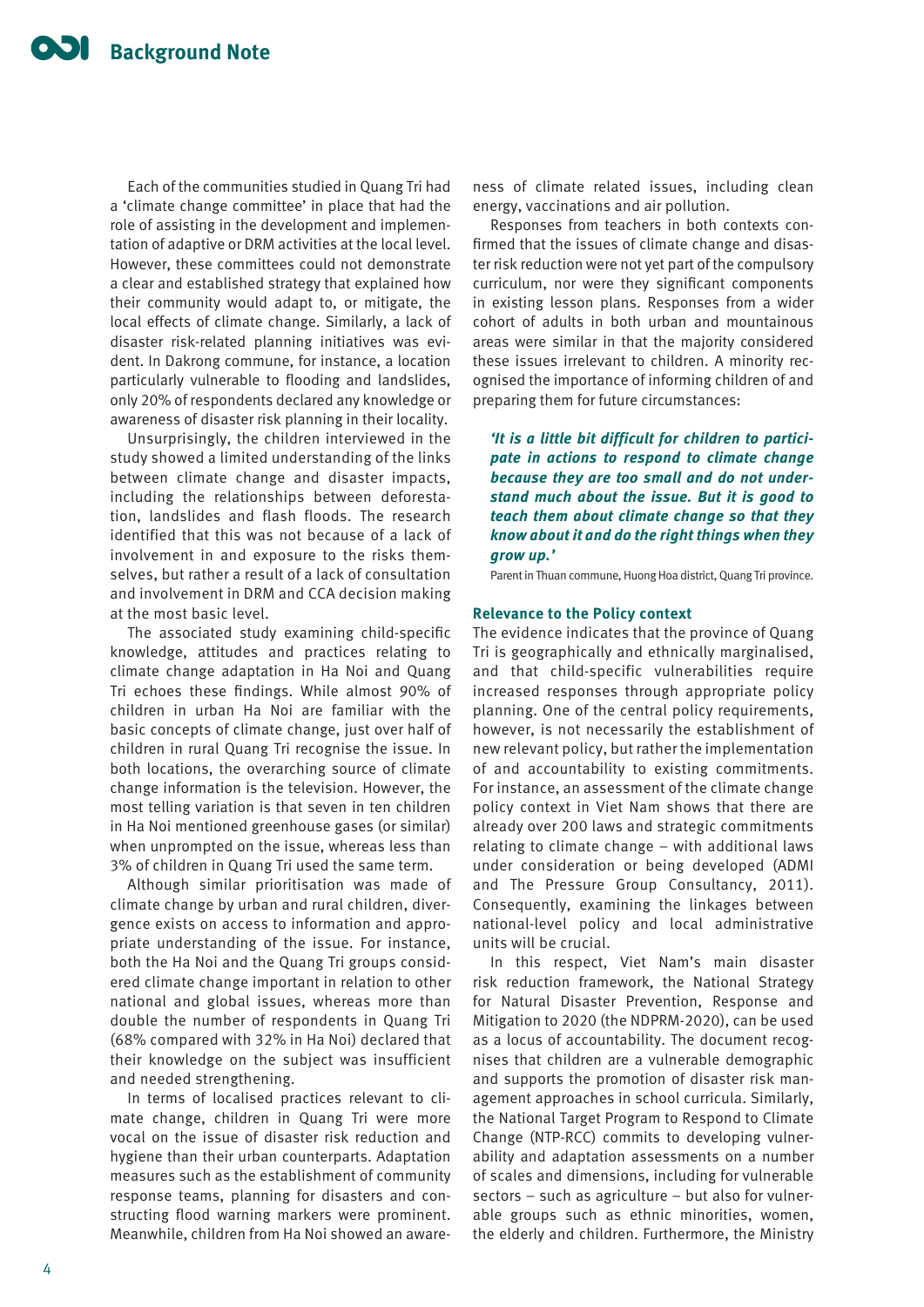Each of the communities studied in Quang Tri had a 'climate change committee' in place that had the role of assisting in the development and implementation of adaptive or DRM activities at the local level. However, these committees could not demonstrate a clear and established strategy that explained how their community would adapt to, or mitigate, the local effects of climate change. Similarly, a lack of disaster risk-related planning initiatives was evident. In Dakrong commune, for instance, a location particularly vulnerable to flooding and landslides, only 20% of respondents declared any knowledge or awareness of disaster risk planning in their locality.

Unsurprisingly, the children interviewed in the study showed a limited understanding of the links between climate change and disaster impacts, including the relationships between deforestation, landslides and flash floods. The research identified that this was not because of a lack of involvement in and exposure to the risks themselves, but rather a result of a lack of consultation and involvement in DRM and CCA decision making at the most basic level.

The associated study examining child-specific knowledge, attitudes and practices relating to climate change adaptation in Ha Noi and Quang Tri echoes these findings. While almost 90% of children in urban Ha Noi are familiar with the basic concepts of climate change, just over half of children in rural Quang Tri recognise the issue. In both locations, the overarching source of climate change information is the television. However, the most telling variation is that seven in ten children in Ha Noi mentioned greenhouse gases (or similar) when unprompted on the issue, whereas less than 3% of children in Quang Tri used the same term.

Although similar prioritisation was made of climate change by urban and rural children, divergence exists on access to information and appropriate understanding of the issue. For instance, both the Ha Noi and the Quang Tri groups considered climate change important in relation to other national and global issues, whereas more than double the number of respondents in Quang Tri (68% compared with 32% in Ha Noi) declared that their knowledge on the subject was insufficient and needed strengthening.

In terms of localised practices relevant to climate change, children in Quang Tri were more vocal on the issue of disaster risk reduction and hygiene than their urban counterparts. Adaptation measures such as the establishment of community response teams, planning for disasters and constructing flood warning markers were prominent. Meanwhile, children from Ha Noi showed an awareness of climate related issues, including clean energy, vaccinations and air pollution.

Responses from teachers in both contexts confirmed that the issues of climate change and disaster risk reduction were not yet part of the compulsory curriculum, nor were they significant components in existing lesson plans. Responses from a wider cohort of adults in both urban and mountainous areas were similar in that the majority considered these issues irrelevant to children. A minority recognised the importance of informing children of and preparing them for future circumstances:

*'It is a little bit difficult for children to participate in actions to respond to climate change because they are too small and do not understand much about the issue. But it is good to teach them about climate change so that they know about it and do the right things when they grow up.'* 

Parent in Thuan commune, Huong Hoa district, Quang Tri province.

#### **Relevance to the Policy context**

The evidence indicates that the province of Quang Tri is geographically and ethnically marginalised, and that child-specific vulnerabilities require increased responses through appropriate policy planning. One of the central policy requirements, however, is not necessarily the establishment of new relevant policy, but rather the implementation of and accountability to existing commitments. For instance, an assessment of the climate change policy context in Viet Nam shows that there are already over 200 laws and strategic commitments relating to climate change – with additional laws under consideration or being developed (ADMI and The Pressure Group Consultancy, 2011). Consequently, examining the linkages between national-level policy and local administrative units will be crucial.

In this respect, Viet Nam's main disaster risk reduction framework, the National Strategy for Natural Disaster Prevention, Response and Mitigation to 2020 (the NDPRM-2020), can be used as a locus of accountability. The document recognises that children are a vulnerable demographic and supports the promotion of disaster risk management approaches in school curricula. Similarly, the National Target Program to Respond to Climate Change (NTP-RCC) commits to developing vulnerability and adaptation assessments on a number of scales and dimensions, including for vulnerable sectors – such as agriculture – but also for vulnerable groups such as ethnic minorities, women, the elderly and children. Furthermore, the Ministry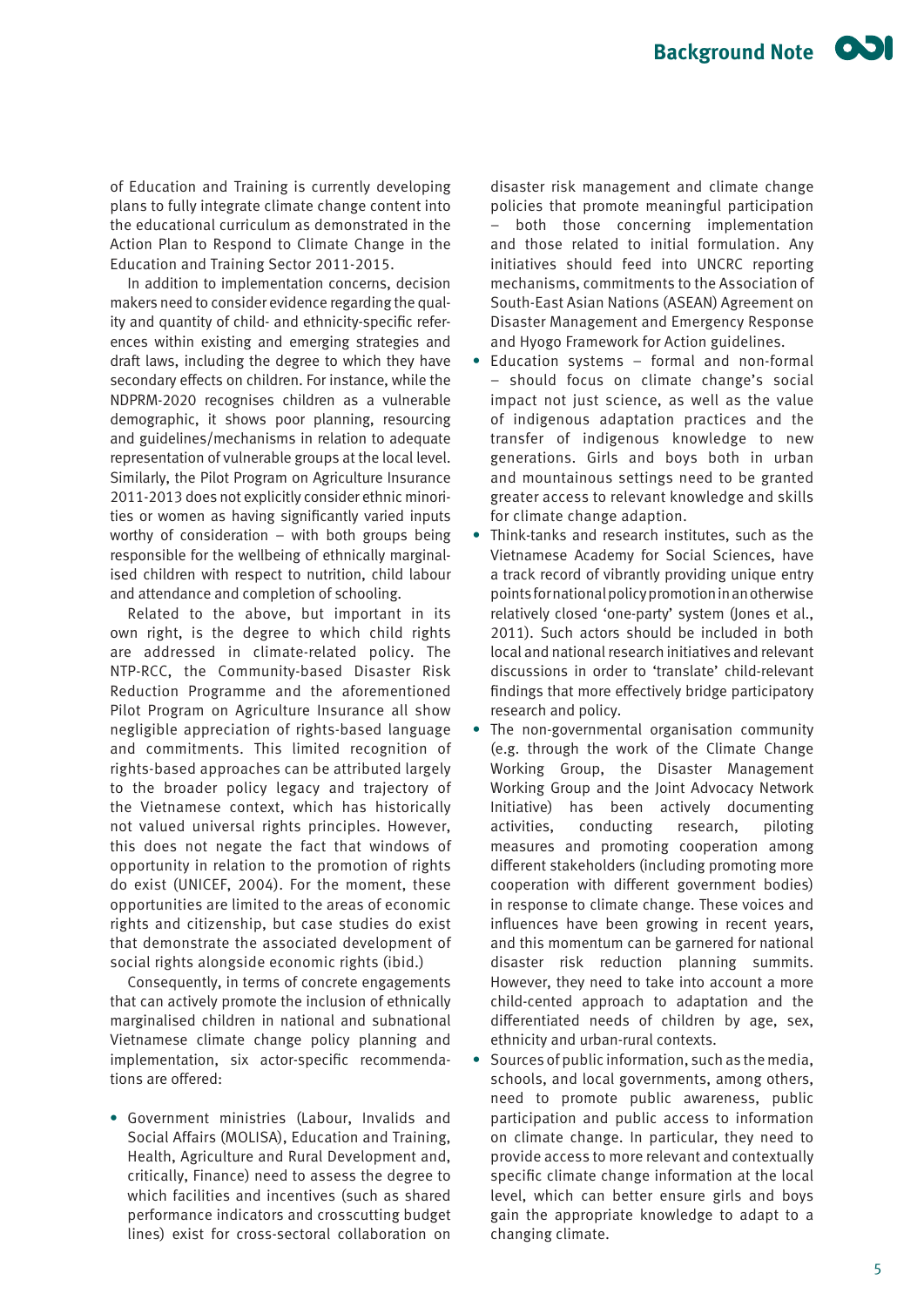of Education and Training is currently developing plans to fully integrate climate change content into the educational curriculum as demonstrated in the Action Plan to Respond to Climate Change in the Education and Training Sector 2011-2015.

In addition to implementation concerns, decision makers need to consider evidence regarding the quality and quantity of child- and ethnicity-specific references within existing and emerging strategies and draft laws, including the degree to which they have secondary effects on children. For instance, while the NDPRM-2020 recognises children as a vulnerable demographic, it shows poor planning, resourcing and guidelines/mechanisms in relation to adequate representation of vulnerable groups at the local level. Similarly, the Pilot Program on Agriculture Insurance 2011-2013 does not explicitly consider ethnic minorities or women as having significantly varied inputs worthy of consideration – with both groups being responsible for the wellbeing of ethnically marginalised children with respect to nutrition, child labour and attendance and completion of schooling.

Related to the above, but important in its own right, is the degree to which child rights are addressed in climate-related policy. The NTP-RCC, the Community-based Disaster Risk Reduction Programme and the aforementioned Pilot Program on Agriculture Insurance all show negligible appreciation of rights-based language and commitments. This limited recognition of rights-based approaches can be attributed largely to the broader policy legacy and trajectory of the Vietnamese context, which has historically not valued universal rights principles. However, this does not negate the fact that windows of opportunity in relation to the promotion of rights do exist (UNICEF, 2004). For the moment, these opportunities are limited to the areas of economic rights and citizenship, but case studies do exist that demonstrate the associated development of social rights alongside economic rights (ibid.)

Consequently, in terms of concrete engagements that can actively promote the inclusion of ethnically marginalised children in national and subnational Vietnamese climate change policy planning and implementation, six actor-specific recommendations are offered:

**•** Government ministries (Labour, Invalids and Social Affairs (MOLISA), Education and Training, Health, Agriculture and Rural Development and, critically, Finance) need to assess the degree to which facilities and incentives (such as shared performance indicators and crosscutting budget lines) exist for cross-sectoral collaboration on

disaster risk management and climate change policies that promote meaningful participation both those concerning implementation and those related to initial formulation. Any initiatives should feed into UNCRC reporting mechanisms, commitments to the Association of South-East Asian Nations (ASEAN) Agreement on Disaster Management and Emergency Response and Hyogo Framework for Action guidelines.

- **•** Education systems formal and non-formal – should focus on climate change's social impact not just science, as well as the value of indigenous adaptation practices and the transfer of indigenous knowledge to new generations. Girls and boys both in urban and mountainous settings need to be granted greater access to relevant knowledge and skills for climate change adaption.
- **•** Think-tanks and research institutes, such as the Vietnamese Academy for Social Sciences, have a track record of vibrantly providing unique entry points for national policy promotion in an otherwise relatively closed 'one-party' system (Jones et al., 2011). Such actors should be included in both local and national research initiatives and relevant discussions in order to 'translate' child-relevant findings that more effectively bridge participatory research and policy.
- **•** The non-governmental organisation community (e.g. through the work of the Climate Change Working Group, the Disaster Management Working Group and the Joint Advocacy Network Initiative) has been actively documenting activities, conducting research, piloting measures and promoting cooperation among different stakeholders (including promoting more cooperation with different government bodies) in response to climate change. These voices and influences have been growing in recent years, and this momentum can be garnered for national disaster risk reduction planning summits. However, they need to take into account a more child-cented approach to adaptation and the differentiated needs of children by age, sex, ethnicity and urban-rural contexts.
- **•** Sources of public information, such as the media, schools, and local governments, among others, need to promote public awareness, public participation and public access to information on climate change. In particular, they need to provide access to more relevant and contextually specific climate change information at the local level, which can better ensure girls and boys gain the appropriate knowledge to adapt to a changing climate.